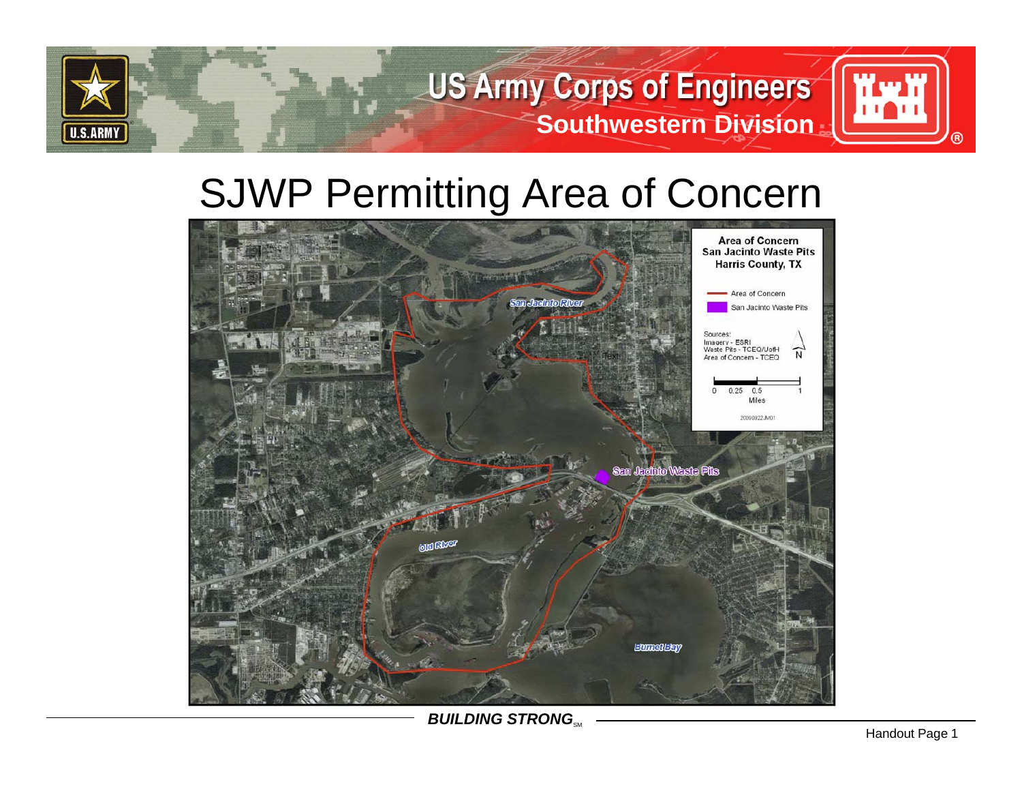

## SJWP Permitting Area of Concern



*BUILDING STRONG***<sub>SM</sub>**